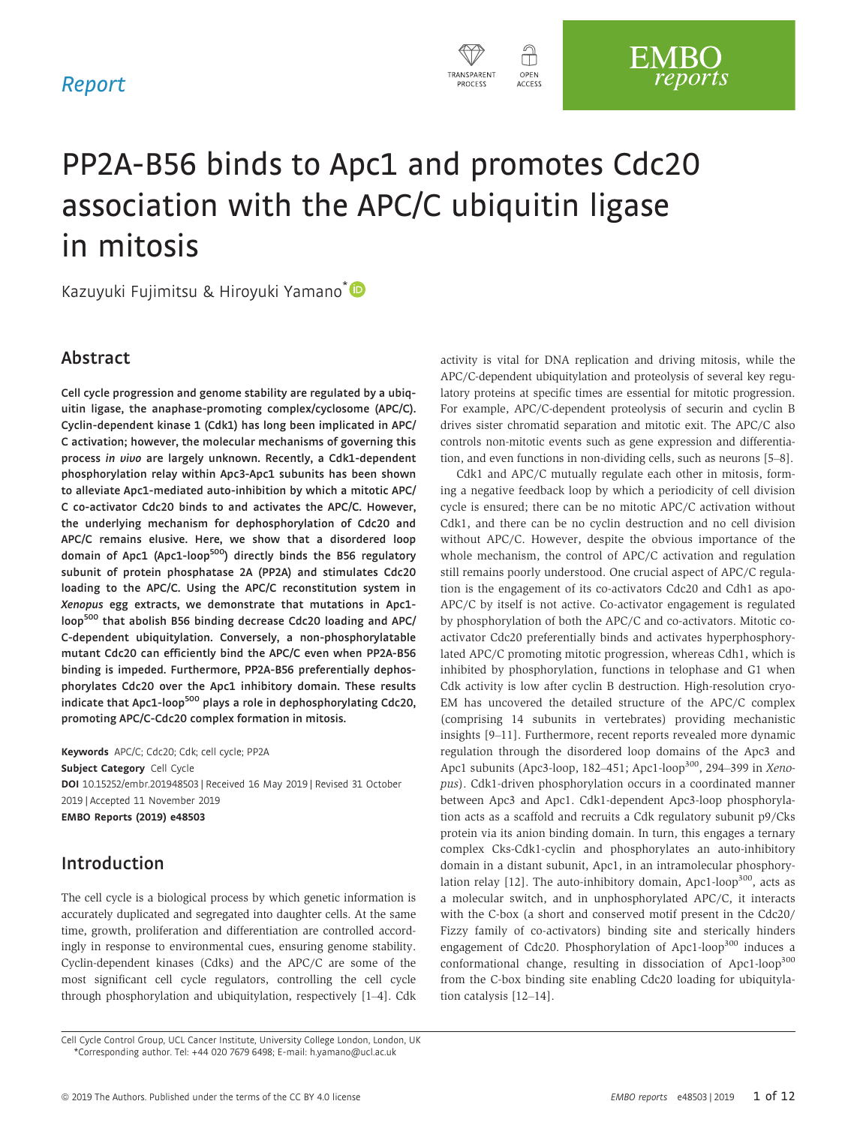

# PP2A-B56 binds to Apc1 and promotes Cdc20 association with the APC/C ubiquitin ligase in mitosis

Kazuyuki Fujimitsu & Hiroyuki Yamano<sup>\*</sup>

# Abstract

Cell cycle progression and genome stability are regulated by a ubiquitin ligase, the anaphase-promoting complex/cyclosome (APC/C). Cyclin-dependent kinase 1 (Cdk1) has long been implicated in APC/ C activation; however, the molecular mechanisms of governing this process in vivo are largely unknown. Recently, a Cdk1-dependent phosphorylation relay within Apc3-Apc1 subunits has been shown to alleviate Apc1-mediated auto-inhibition by which a mitotic APC/ C co-activator Cdc20 binds to and activates the APC/C. However, the underlying mechanism for dephosphorylation of Cdc20 and APC/C remains elusive. Here, we show that a disordered loop domain of Apc1 (Apc1-loop<sup>500</sup>) directly binds the B56 regulatory subunit of protein phosphatase 2A (PP2A) and stimulates Cdc20 loading to the APC/C. Using the APC/C reconstitution system in Xenopus egg extracts, we demonstrate that mutations in Apc1 loop<sup>500</sup> that abolish B56 binding decrease Cdc20 loading and APC/ C-dependent ubiquitylation. Conversely, a non-phosphorylatable mutant Cdc20 can efficiently bind the APC/C even when PP2A-B56 binding is impeded. Furthermore, PP2A-B56 preferentially dephosphorylates Cdc20 over the Apc1 inhibitory domain. These results indicate that Apc1-loop<sup>500</sup> plays a role in dephosphorylating Cdc20, promoting APC/C-Cdc20 complex formation in mitosis.

Keywords APC/C; Cdc20; Cdk; cell cycle; PP2A Subject Category Cell Cycle DOI 10.15252/embr.201948503 | Received 16 May 2019 | Revised 31 October 2019 | Accepted 11 November 2019 EMBO Reports (2019) e48503

# Introduction

The cell cycle is a biological process by which genetic information is accurately duplicated and segregated into daughter cells. At the same time, growth, proliferation and differentiation are controlled accordingly in response to environmental cues, ensuring genome stability. Cyclin-dependent kinases (Cdks) and the APC/C are some of the most significant cell cycle regulators, controlling the cell cycle through phosphorylation and ubiquitylation, respectively [1–4]. Cdk activity is vital for DNA replication and driving mitosis, while the APC/C-dependent ubiquitylation and proteolysis of several key regulatory proteins at specific times are essential for mitotic progression. For example, APC/C-dependent proteolysis of securin and cyclin B drives sister chromatid separation and mitotic exit. The APC/C also controls non-mitotic events such as gene expression and differentiation, and even functions in non-dividing cells, such as neurons [5–8].

Cdk1 and APC/C mutually regulate each other in mitosis, forming a negative feedback loop by which a periodicity of cell division cycle is ensured; there can be no mitotic APC/C activation without Cdk1, and there can be no cyclin destruction and no cell division without APC/C. However, despite the obvious importance of the whole mechanism, the control of APC/C activation and regulation still remains poorly understood. One crucial aspect of APC/C regulation is the engagement of its co-activators Cdc20 and Cdh1 as apo-APC/C by itself is not active. Co-activator engagement is regulated by phosphorylation of both the APC/C and co-activators. Mitotic coactivator Cdc20 preferentially binds and activates hyperphosphorylated APC/C promoting mitotic progression, whereas Cdh1, which is inhibited by phosphorylation, functions in telophase and G1 when Cdk activity is low after cyclin B destruction. High-resolution cryo-EM has uncovered the detailed structure of the APC/C complex (comprising 14 subunits in vertebrates) providing mechanistic insights [9–11]. Furthermore, recent reports revealed more dynamic regulation through the disordered loop domains of the Apc3 and Apc1 subunits (Apc3-loop, 182-451; Apc1-loop<sup>300</sup>, 294-399 in Xenopus). Cdk1-driven phosphorylation occurs in a coordinated manner between Apc3 and Apc1. Cdk1-dependent Apc3-loop phosphorylation acts as a scaffold and recruits a Cdk regulatory subunit p9/Cks protein via its anion binding domain. In turn, this engages a ternary complex Cks-Cdk1-cyclin and phosphorylates an auto-inhibitory domain in a distant subunit, Apc1, in an intramolecular phosphorylation relay  $[12]$ . The auto-inhibitory domain, Apc1-loop<sup>300</sup>, acts as a molecular switch, and in unphosphorylated APC/C, it interacts with the C-box (a short and conserved motif present in the Cdc20/ Fizzy family of co-activators) binding site and sterically hinders engagement of Cdc20. Phosphorylation of Apc1-loop<sup>300</sup> induces a conformational change, resulting in dissociation of Apc1-loop<sup>300</sup> from the C-box binding site enabling Cdc20 loading for ubiquitylation catalysis [12–14].

Cell Cycle Control Group, UCL Cancer Institute, University College London, London, UK \*Corresponding author. Tel: +44 020 7679 6498; E-mail: h.yamano@ucl.ac.uk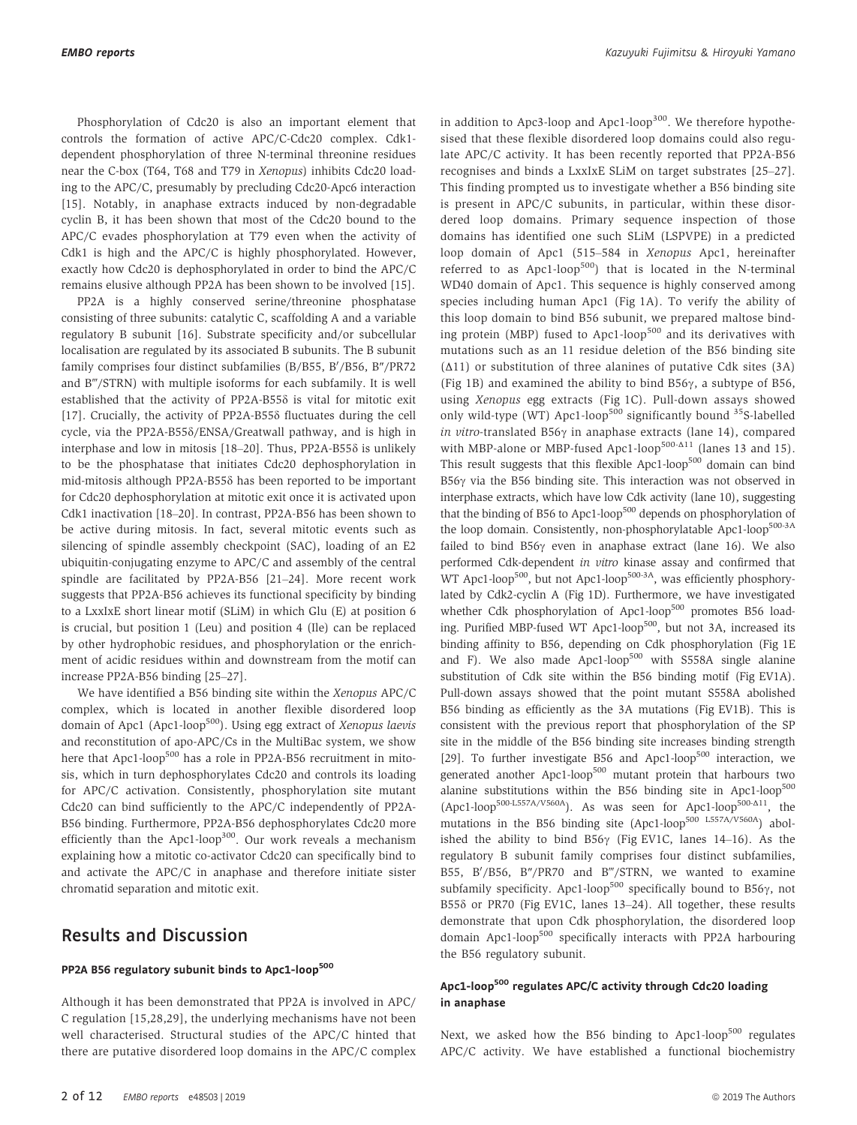Phosphorylation of Cdc20 is also an important element that controls the formation of active APC/C-Cdc20 complex. Cdk1 dependent phosphorylation of three N-terminal threonine residues near the C-box (T64, T68 and T79 in Xenopus) inhibits Cdc20 loading to the APC/C, presumably by precluding Cdc20-Apc6 interaction [15]. Notably, in anaphase extracts induced by non-degradable cyclin B, it has been shown that most of the Cdc20 bound to the APC/C evades phosphorylation at T79 even when the activity of Cdk1 is high and the APC/C is highly phosphorylated. However, exactly how Cdc20 is dephosphorylated in order to bind the APC/C remains elusive although PP2A has been shown to be involved [15].

PP2A is a highly conserved serine/threonine phosphatase consisting of three subunits: catalytic C, scaffolding A and a variable regulatory B subunit [16]. Substrate specificity and/or subcellular localisation are regulated by its associated B subunits. The B subunit family comprises four distinct subfamilies (B/B55, B'/B56, B″/PR72 and B‴/STRN) with multiple isoforms for each subfamily. It is well established that the activity of PP2A-B55 $\delta$  is vital for mitotic exit [17]. Crucially, the activity of PP2A-B55 $\delta$  fluctuates during the cell cycle, via the PP2A-B55d/ENSA/Greatwall pathway, and is high in interphase and low in mitosis  $[18–20]$ . Thus, PP2A-B55 $\delta$  is unlikely to be the phosphatase that initiates Cdc20 dephosphorylation in mid-mitosis although PP2A-B55d has been reported to be important for Cdc20 dephosphorylation at mitotic exit once it is activated upon Cdk1 inactivation [18–20]. In contrast, PP2A-B56 has been shown to be active during mitosis. In fact, several mitotic events such as silencing of spindle assembly checkpoint (SAC), loading of an E2 ubiquitin-conjugating enzyme to APC/C and assembly of the central spindle are facilitated by PP2A-B56 [21–24]. More recent work suggests that PP2A-B56 achieves its functional specificity by binding to a LxxIxE short linear motif (SLiM) in which Glu (E) at position 6 is crucial, but position 1 (Leu) and position 4 (Ile) can be replaced by other hydrophobic residues, and phosphorylation or the enrichment of acidic residues within and downstream from the motif can increase PP2A-B56 binding [25–27].

We have identified a B56 binding site within the Xenopus APC/C complex, which is located in another flexible disordered loop domain of Apc1 (Apc1-loop<sup>500</sup>). Using egg extract of Xenopus laevis and reconstitution of apo-APC/Cs in the MultiBac system, we show here that Apc1-loop<sup>500</sup> has a role in PP2A-B56 recruitment in mitosis, which in turn dephosphorylates Cdc20 and controls its loading for APC/C activation. Consistently, phosphorylation site mutant Cdc20 can bind sufficiently to the APC/C independently of PP2A-B56 binding. Furthermore, PP2A-B56 dephosphorylates Cdc20 more efficiently than the Apc1-loop<sup>300</sup>. Our work reveals a mechanism explaining how a mitotic co-activator Cdc20 can specifically bind to and activate the APC/C in anaphase and therefore initiate sister chromatid separation and mitotic exit.

# Results and Discussion

#### PP2A B56 regulatory subunit binds to Apc1-loop<sup>500</sup>

Although it has been demonstrated that PP2A is involved in APC/ C regulation [15,28,29], the underlying mechanisms have not been well characterised. Structural studies of the APC/C hinted that there are putative disordered loop domains in the APC/C complex in addition to Apc3-loop and Apc1-loop<sup>300</sup>. We therefore hypothesised that these flexible disordered loop domains could also regulate APC/C activity. It has been recently reported that PP2A-B56 recognises and binds a LxxIxE SLiM on target substrates [25–27]. This finding prompted us to investigate whether a B56 binding site is present in APC/C subunits, in particular, within these disordered loop domains. Primary sequence inspection of those domains has identified one such SLiM (LSPVPE) in a predicted loop domain of Apc1 (515–584 in Xenopus Apc1, hereinafter referred to as  $Apc1-loop<sup>500</sup>$  that is located in the N-terminal WD40 domain of Apc1. This sequence is highly conserved among species including human Apc1 (Fig 1A). To verify the ability of this loop domain to bind B56 subunit, we prepared maltose binding protein (MBP) fused to Apc1-loop<sup>500</sup> and its derivatives with mutations such as an 11 residue deletion of the B56 binding site (Δ11) or substitution of three alanines of putative Cdk sites (3A) (Fig 1B) and examined the ability to bind  $B56\gamma$ , a subtype of B56, using Xenopus egg extracts (Fig 1C). Pull-down assays showed only wild-type (WT) Apc1-loop<sup>500</sup> significantly bound <sup>35</sup>S-labelled in vitro-translated B56 $\gamma$  in anaphase extracts (lane 14), compared with MBP-alone or MBP-fused Apc1-loop<sup>500-Δ11</sup> (lanes 13 and 15). This result suggests that this flexible  $Apc1-loop<sup>500</sup>$  domain can bind B56 $\gamma$  via the B56 binding site. This interaction was not observed in interphase extracts, which have low Cdk activity (lane 10), suggesting that the binding of B56 to Apc1-loop<sup>500</sup> depends on phosphorylation of the loop domain. Consistently, non-phosphorylatable Apc1-loop<sup>500-3A</sup> failed to bind  $B56\gamma$  even in anaphase extract (lane 16). We also performed Cdk-dependent in vitro kinase assay and confirmed that WT Apc1-loop<sup>500</sup>, but not Apc1-loop<sup>500-3A</sup>, was efficiently phosphorylated by Cdk2-cyclin A (Fig 1D). Furthermore, we have investigated whether Cdk phosphorylation of Apc1-loop<sup>500</sup> promotes B56 loading. Purified MBP-fused WT Apc1-loop<sup>500</sup>, but not 3A, increased its binding affinity to B56, depending on Cdk phosphorylation (Fig 1E and F). We also made  $Apc1-loop<sup>500</sup>$  with S558A single alanine substitution of Cdk site within the B56 binding motif (Fig EV1A). Pull-down assays showed that the point mutant S558A abolished B56 binding as efficiently as the 3A mutations (Fig EV1B). This is consistent with the previous report that phosphorylation of the SP site in the middle of the B56 binding site increases binding strength [29]. To further investigate B56 and Apc1-loop<sup>500</sup> interaction, we generated another Apc1-loop<sup>500</sup> mutant protein that harbours two alanine substitutions within the B56 binding site in Apc1-loop<sup>500</sup>  $(Apc1-loop<sup>500-L557A/V560A</sup>)$ . As was seen for Apc1-loop<sup>500- $\Delta$ 11</sup>, the mutations in the B56 binding site (Apc1-loop<sup>500 L557A/V560A</sup>) abolished the ability to bind  $B56\gamma$  (Fig EV1C, lanes 14–16). As the regulatory B subunit family comprises four distinct subfamilies, B55, B'/B56, B"/PR70 and B"'/STRN, we wanted to examine subfamily specificity. Apc1-loop<sup>500</sup> specifically bound to B56 $\gamma$ , not B55 $\delta$  or PR70 (Fig EV1C, lanes 13-24). All together, these results demonstrate that upon Cdk phosphorylation, the disordered loop domain Apc1-loop<sup>500</sup> specifically interacts with PP2A harbouring the B56 regulatory subunit.

## Apc1-loop<sup>500</sup> regulates APC/C activity through Cdc20 loading in anaphase

Next, we asked how the B56 binding to Apc1-loop<sup>500</sup> regulates APC/C activity. We have established a functional biochemistry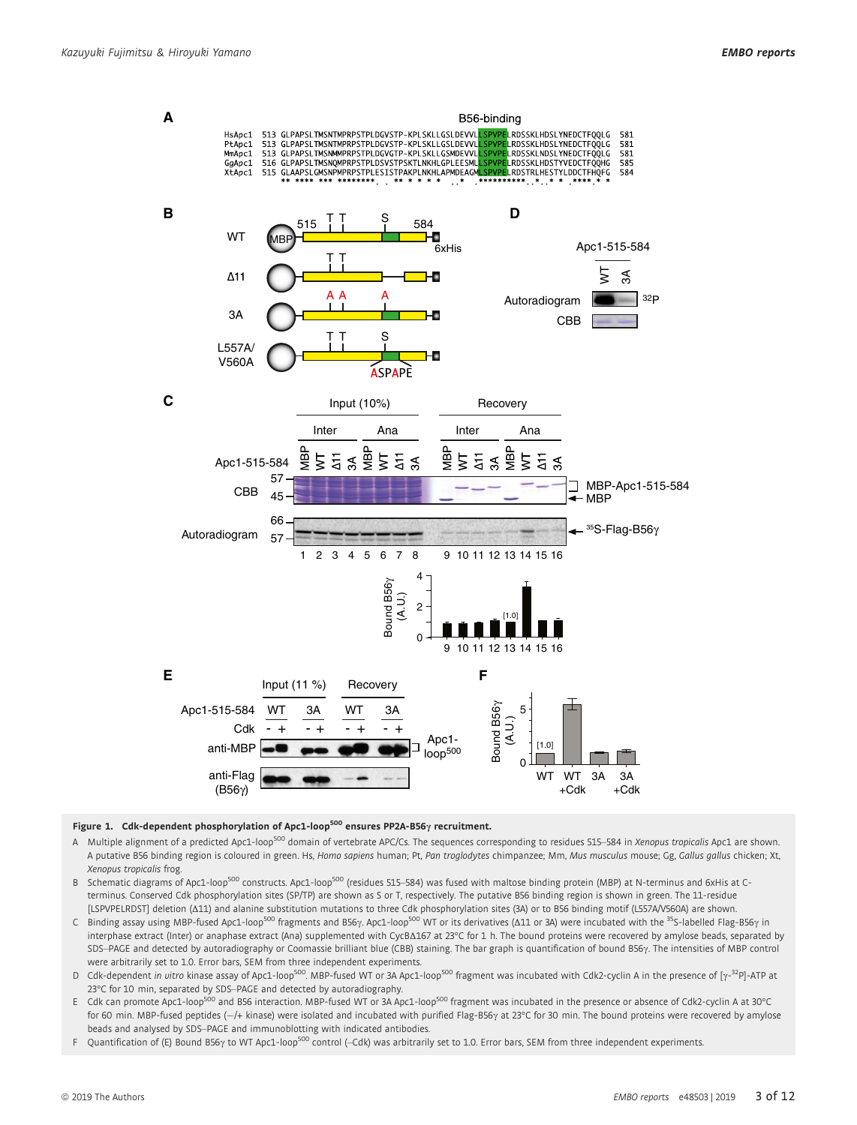

#### Figure 1. Cdk-dependent phosphorylation of Apc1-loop<sup>500</sup> ensures PP2A-B56 $\gamma$  recruitment.

- A Multiple alignment of a predicted Apc1-loop<sup>500</sup> domain of vertebrate APC/Cs. The sequences corresponding to residues 515–584 in Xenopus tropicalis Apc1 are shown. A putative B56 binding region is coloured in green. Hs, Homo sapiens human; Pt, Pan troglodytes chimpanzee; Mm, Mus musculus mouse; Gg, Gallus gallus chicken; Xt, Xenopus tropicalis frog.
- B Schematic diagrams of Apc1-loop<sup>500</sup> constructs. Apc1-loop<sup>500</sup> (residues 515–584) was fused with maltose binding protein (MBP) at N-terminus and 6xHis at Cterminus. Conserved Cdk phosphorylation sites (SP/TP) are shown as S or T, respectively. The putative B56 binding region is shown in green. The 11-residue [LSPVPELRDST] deletion (Δ11) and alanine substitution mutations to three Cdk phosphorylation sites (3A) or to B56 binding motif (L557A/V560A) are shown.
- C Binding assay using MBP-fused Apc1-loop<sup>500</sup> fragments and B56γ. Apc1-loop<sup>500</sup> WT or its derivatives (Δ11 or 3A) were incubated with the <sup>35</sup>S-labelled Flag-B56γ in interphase extract (Inter) or anaphase extract (Ana) supplemented with CycBΔ167 at 23°C for 1 h. The bound proteins were recovered by amylose beads, separated by SDS-PAGE and detected by autoradiography or Coomassie brilliant blue (CBB) staining. The bar graph is quantification of bound B56 $\gamma$ . The intensities of MBP control were arbitrarily set to 1.0. Error bars, SEM from three independent experiments.
- D Cdk-dependent in vitro kinase assay of Apc1-loop<sup>500</sup>. MBP-fused WT or 3A Apc1-loop<sup>500</sup> fragment was incubated with Cdk2-cyclin A in the presence of [ $\gamma$ -<sup>32</sup>P]-ATP at 23°C for 10 min, separated by SDS–PAGE and detected by autoradiography.
- E Cdk can promote Apc1-loop<sup>500</sup> and B56 interaction. MBP-fused WT or 3A Apc1-loop<sup>500</sup> fragment was incubated in the presence or absence of Cdk2-cyclin A at 30°C for 60 min. MBP-fused peptides (—/+ kinase) were isolated and incubated with purified Flag-B56 $\gamma$  at 23°C for 30 min. The bound proteins were recovered by amylose beads and analysed by SDS–PAGE and immunoblotting with indicated antibodies.
- F Quantification of (E) Bound B56 $\gamma$  to WT Apc1-loop<sup>500</sup> control (-Cdk) was arbitrarily set to 1.0. Error bars, SEM from three independent experiments.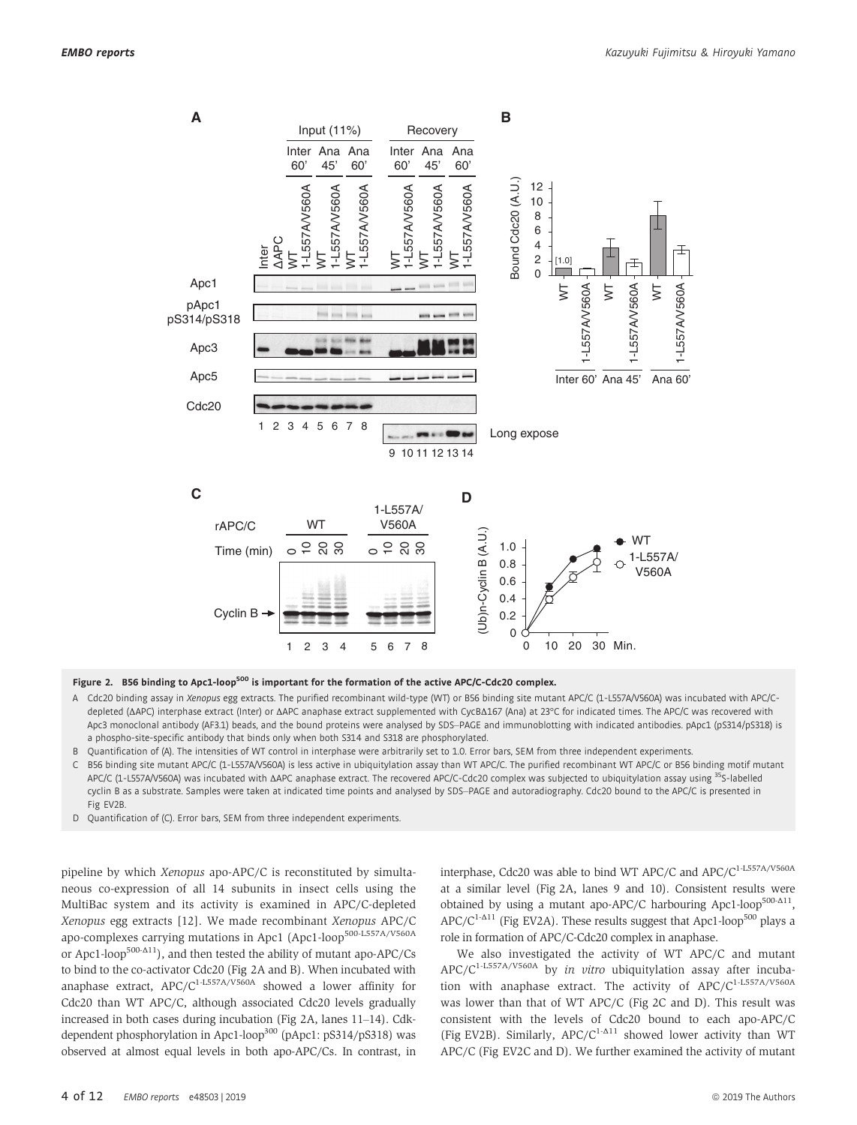

Figure 2. B56 binding to Apc1-loop<sup>500</sup> is important for the formation of the active APC/C-Cdc20 complex.

- A Cdc20 binding assay in Xenopus egg extracts. The purified recombinant wild-type (WT) or B56 binding site mutant APC/C (1-L557A/V560A) was incubated with APC/Cdepleted (ΔAPC) interphase extract (Inter) or ΔAPC anaphase extract supplemented with CycBΔ167 (Ana) at 23°C for indicated times. The APC/C was recovered with Apc3 monoclonal antibody (AF3.1) beads, and the bound proteins were analysed by SDS-PAGE and immunoblotting with indicated antibodies. pApc1 (pS314/pS318) is a phospho-site-specific antibody that binds only when both S314 and S318 are phosphorylated.
- B Quantification of (A). The intensities of WT control in interphase were arbitrarily set to 1.0. Error bars, SEM from three independent experiments.
- B56 binding site mutant APC/C (1-L557A/V560A) is less active in ubiquitylation assay than WT APC/C. The purified recombinant WT APC/C or B56 binding motif mutant APC/C (1-L557A/V560A) was incubated with ΔAPC anaphase extract. The recovered APC/C-Cdc20 complex was subjected to ubiquitylation assay using 35S-labelled cyclin B as a substrate. Samples were taken at indicated time points and analysed by SDS-PAGE and autoradiography. Cdc20 bound to the APC/C is presented in Fig EV2B.
- D Quantification of (C). Error bars, SEM from three independent experiments.

pipeline by which Xenopus apo-APC/C is reconstituted by simultaneous co-expression of all 14 subunits in insect cells using the MultiBac system and its activity is examined in APC/C-depleted Xenopus egg extracts [12]. We made recombinant Xenopus APC/C apo-complexes carrying mutations in Apc1 (Apc1-loop<sup>500-L557A/V560A</sup> or Apc1-loop<sup>500-Δ11</sup>), and then tested the ability of mutant apo-APC/Cs to bind to the co-activator Cdc20 (Fig 2A and B). When incubated with anaphase extract,  $APC/C^{1-L557A/V560A}$  showed a lower affinity for Cdc20 than WT APC/C, although associated Cdc20 levels gradually increased in both cases during incubation (Fig 2A, lanes 11–14). Cdkdependent phosphorylation in Apc1-loop<sup>300</sup> (pApc1: pS314/pS318) was observed at almost equal levels in both apo-APC/Cs. In contrast, in interphase, Cdc20 was able to bind WT APC/C and APC/C<sup>1-L557A/V560A</sup> at a similar level (Fig 2A, lanes 9 and 10). Consistent results were obtained by using a mutant apo-APC/C harbouring Apc1-loop<sup>500-Δ11</sup>,  $APC/C^{1-\Delta 11}$  (Fig EV2A). These results suggest that Apc1-loop<sup>500</sup> plays a role in formation of APC/C-Cdc20 complex in anaphase.

We also investigated the activity of WT APC/C and mutant APC/C<sup>1-L557A/V560A</sup> by in vitro ubiquitylation assay after incubation with anaphase extract. The activity of APC/C<sup>1-L557A/V560A</sup> was lower than that of WT APC/C (Fig 2C and D). This result was consistent with the levels of Cdc20 bound to each apo-APC/C (Fig EV2B). Similarly,  $APC/C^{1-\Delta 11}$  showed lower activity than WT APC/C (Fig EV2C and D). We further examined the activity of mutant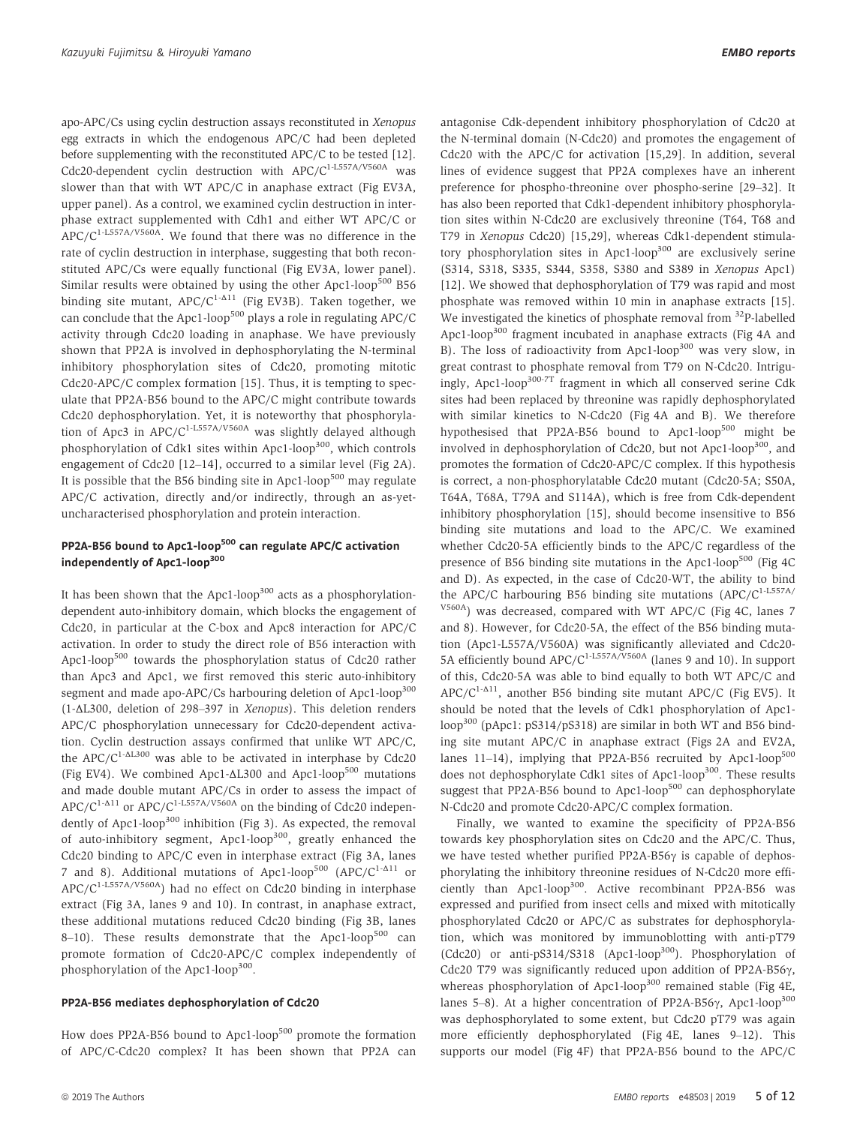apo-APC/Cs using cyclin destruction assays reconstituted in Xenopus egg extracts in which the endogenous APC/C had been depleted before supplementing with the reconstituted APC/C to be tested [12]. Cdc20-dependent cyclin destruction with  $APC/C<sup>1-L557A/V560A</sup>$  was slower than that with WT APC/C in anaphase extract (Fig EV3A, upper panel). As a control, we examined cyclin destruction in interphase extract supplemented with Cdh1 and either WT APC/C or  $APC/C<sup>1-L557A/V560A</sup>$ . We found that there was no difference in the rate of cyclin destruction in interphase, suggesting that both reconstituted APC/Cs were equally functional (Fig EV3A, lower panel). Similar results were obtained by using the other Apc1-loop<sup>500</sup> B56 binding site mutant,  $APC/C^{1-\Delta 11}$  (Fig EV3B). Taken together, we can conclude that the Apc1-loop<sup>500</sup> plays a role in regulating APC/C activity through Cdc20 loading in anaphase. We have previously shown that PP2A is involved in dephosphorylating the N-terminal inhibitory phosphorylation sites of Cdc20, promoting mitotic Cdc20-APC/C complex formation [15]. Thus, it is tempting to speculate that PP2A-B56 bound to the APC/C might contribute towards Cdc20 dephosphorylation. Yet, it is noteworthy that phosphorylation of Apc3 in  $APC/C^{1-L557A/V560A}$  was slightly delayed although phosphorylation of Cdk1 sites within Apc1-loop<sup>300</sup>, which controls engagement of Cdc20 [12–14], occurred to a similar level (Fig 2A). It is possible that the B56 binding site in Apc1-loop<sup>500</sup> may regulate APC/C activation, directly and/or indirectly, through an as-yetuncharacterised phosphorylation and protein interaction.

## PP2A-B56 bound to Apc1-loop<sup>500</sup> can regulate APC/C activation independently of Apc1-loop<sup>300</sup>

It has been shown that the Apc1-loop<sup>300</sup> acts as a phosphorylationdependent auto-inhibitory domain, which blocks the engagement of Cdc20, in particular at the C-box and Apc8 interaction for APC/C activation. In order to study the direct role of B56 interaction with Apc1-loop<sup>500</sup> towards the phosphorylation status of Cdc20 rather than Apc3 and Apc1, we first removed this steric auto-inhibitory segment and made apo-APC/Cs harbouring deletion of Apc1-loop<sup>300</sup> (1-ΔL300, deletion of 298–397 in Xenopus). This deletion renders APC/C phosphorylation unnecessary for Cdc20-dependent activation. Cyclin destruction assays confirmed that unlike WT APC/C, the  $APC/C^{1-\Delta L300}$  was able to be activated in interphase by Cdc20 (Fig EV4). We combined Apc1- $\Delta$ L300 and Apc1-loop<sup>500</sup> mutations and made double mutant APC/Cs in order to assess the impact of APC/C<sup>1-Δ11</sup> or APC/C<sup>1-L557A/V560A</sup> on the binding of Cdc20 independently of Apc1-loop<sup>300</sup> inhibition (Fig 3). As expected, the removal of auto-inhibitory segment, Apc1-loop<sup>300</sup>, greatly enhanced the Cdc20 binding to APC/C even in interphase extract (Fig 3A, lanes 7 and 8). Additional mutations of Apc1-loop<sup>500</sup> (APC/C<sup>1- $\Delta$ 11</sup> or APC/C1-L557A/V560A) had no effect on Cdc20 binding in interphase extract (Fig 3A, lanes 9 and 10). In contrast, in anaphase extract, these additional mutations reduced Cdc20 binding (Fig 3B, lanes 8–10). These results demonstrate that the Apc1-loop<sup>500</sup> can promote formation of Cdc20-APC/C complex independently of phosphorylation of the Apc1-loop<sup>300</sup>.

### PP2A-B56 mediates dephosphorylation of Cdc20

How does PP2A-B56 bound to Apc1-loop<sup>500</sup> promote the formation of APC/C-Cdc20 complex? It has been shown that PP2A can antagonise Cdk-dependent inhibitory phosphorylation of Cdc20 at the N-terminal domain (N-Cdc20) and promotes the engagement of Cdc20 with the APC/C for activation [15,29]. In addition, several lines of evidence suggest that PP2A complexes have an inherent preference for phospho-threonine over phospho-serine [29–32]. It has also been reported that Cdk1-dependent inhibitory phosphorylation sites within N-Cdc20 are exclusively threonine (T64, T68 and T79 in *Xenopus* Cdc20) [15,29], whereas Cdk1-dependent stimula-<br>tory phosphorylation sites in Apc1-loop<sup>300</sup> are exclusively serine (S314, S318, S335, S344, S358, S380 and S389 in Xenopus Apc1) [12]. We showed that dephosphorylation of T79 was rapid and most phosphate was removed within 10 min in anaphase extracts [15]. We investigated the kinetics of phosphate removal from <sup>32</sup>P-labelled Apc1-loop<sup>300</sup> fragment incubated in anaphase extracts (Fig 4A and B). The loss of radioactivity from Apc1-loop<sup>300</sup> was very slow, in great contrast to phosphate removal from T79 on N-Cdc20. Intriguingly, Apc1-loop300-7T fragment in which all conserved serine Cdk sites had been replaced by threonine was rapidly dephosphorylated with similar kinetics to N-Cdc20 (Fig 4A and B). We therefore hypothesised that PP2A-B56 bound to Apc1-loop<sup>500</sup> might be involved in dephosphorylation of Cdc20, but not Apc1-loop<sup>300</sup>, and promotes the formation of Cdc20-APC/C complex. If this hypothesis is correct, a non-phosphorylatable Cdc20 mutant (Cdc20-5A; S50A, T64A, T68A, T79A and S114A), which is free from Cdk-dependent inhibitory phosphorylation [15], should become insensitive to B56 binding site mutations and load to the APC/C. We examined whether Cdc20-5A efficiently binds to the APC/C regardless of the presence of B56 binding site mutations in the Apc1-loop<sup>500</sup> (Fig  $4C$ and D). As expected, in the case of Cdc20-WT, the ability to bind the APC/C harbouring B56 binding site mutations  $(APC/C<sup>1-L557A/</sup>)$ V560A) was decreased, compared with WT APC/C (Fig 4C, lanes 7 and 8). However, for Cdc20-5A, the effect of the B56 binding mutation (Apc1-L557A/V560A) was significantly alleviated and Cdc20- 5A efficiently bound  $APC/C^{1-L557A/V560A}$  (lanes 9 and 10). In support of this, Cdc20-5A was able to bind equally to both WT APC/C and APC/C<sup>1-A11</sup>, another B56 binding site mutant APC/C (Fig EV5). It should be noted that the levels of Cdk1 phosphorylation of Apc1 loop<sup>300</sup> (pApc1: pS314/pS318) are similar in both WT and B56 binding site mutant APC/C in anaphase extract (Figs 2A and EV2A, lanes 11–14), implying that PP2A-B56 recruited by Apc1-loop<sup>500</sup> does not dephosphorylate Cdk1 sites of Apc1-loop<sup>300</sup>. These results suggest that PP2A-B56 bound to Apc1-loop<sup>500</sup> can dephosphorylate N-Cdc20 and promote Cdc20-APC/C complex formation.

Finally, we wanted to examine the specificity of PP2A-B56 towards key phosphorylation sites on Cdc20 and the APC/C. Thus, we have tested whether purified PP2A-B56 $\gamma$  is capable of dephosphorylating the inhibitory threonine residues of N-Cdc20 more efficiently than Apc1-loop<sup>300</sup>. Active recombinant PP2A-B56 was expressed and purified from insect cells and mixed with mitotically phosphorylated Cdc20 or APC/C as substrates for dephosphorylation, which was monitored by immunoblotting with anti-pT79 (Cdc20) or anti-pS314/S318 (Apc1-loop<sup>300</sup>). Phosphorylation of Cdc20 T79 was significantly reduced upon addition of PP2A-B56 $\gamma$ , whereas phosphorylation of Apc1-loop<sup>300</sup> remained stable (Fig 4E, lanes 5–8). At a higher concentration of PP2A-B56 $\gamma$ , Apc1-loop<sup>300</sup> was dephosphorylated to some extent, but Cdc20 pT79 was again more efficiently dephosphorylated (Fig 4E, lanes 9–12). This supports our model (Fig 4F) that PP2A-B56 bound to the APC/C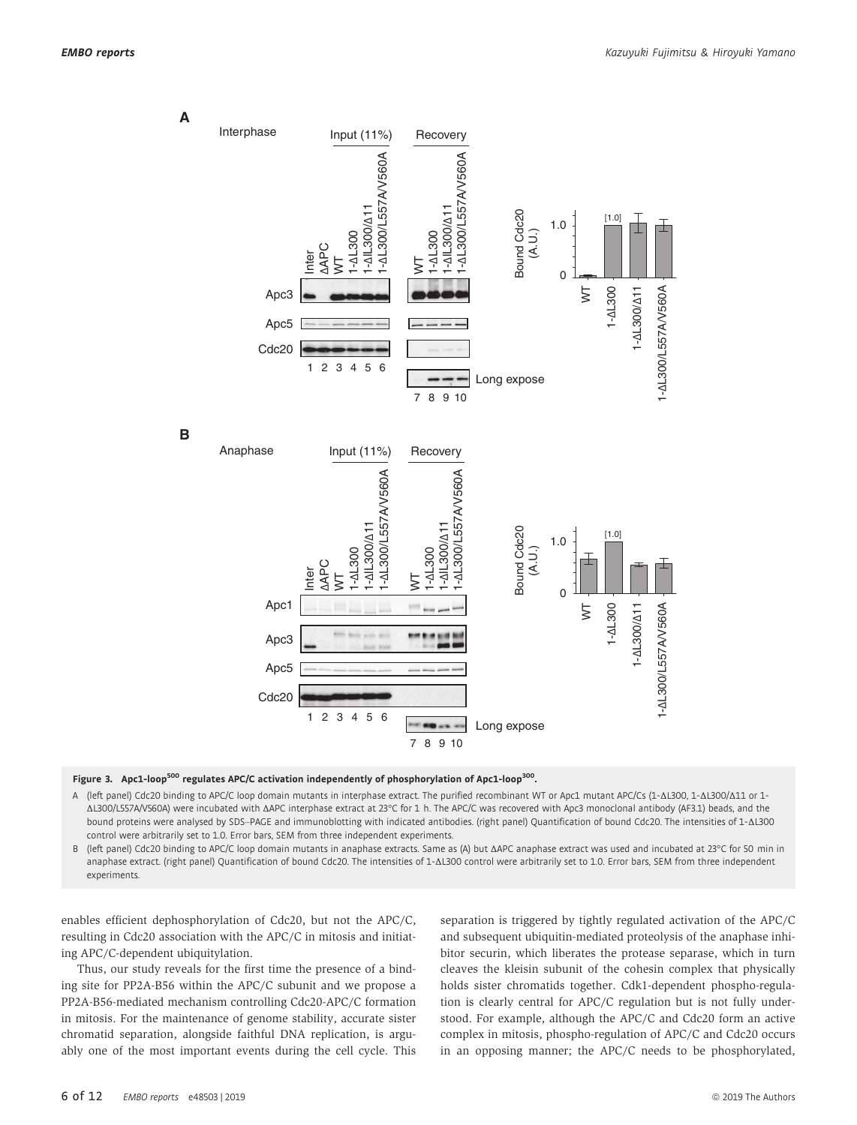**A**



#### Figure 3. Apc1-loop<sup>500</sup> regulates APC/C activation independently of phosphorylation of Apc1-loop<sup>300</sup>.

A (left panel) Cdc20 binding to APC/C loop domain mutants in interphase extract. The purified recombinant WT or Apc1 mutant APC/Cs (1-ΔL300, 1-ΔL300/Δ11 or 1- ΔL300/L557A/V560A) were incubated with ΔAPC interphase extract at 23°C for 1 h. The APC/C was recovered with Apc3 monoclonal antibody (AF3.1) beads, and the bound proteins were analysed by SDS–PAGE and immunoblotting with indicated antibodies. (right panel) Quantification of bound Cdc20. The intensities of 1-ΔL300 control were arbitrarily set to 1.0. Error bars, SEM from three independent experiments.

B (left panel) Cdc20 binding to APC/C loop domain mutants in anaphase extracts. Same as (A) but ΔAPC anaphase extract was used and incubated at 23°C for 50 min in anaphase extract. (right panel) Quantification of bound Cdc20. The intensities of 1-ΔL300 control were arbitrarily set to 1.0. Error bars, SEM from three independent experiments.

enables efficient dephosphorylation of Cdc20, but not the APC/C, resulting in Cdc20 association with the APC/C in mitosis and initiating APC/C-dependent ubiquitylation.

Thus, our study reveals for the first time the presence of a binding site for PP2A-B56 within the APC/C subunit and we propose a PP2A-B56-mediated mechanism controlling Cdc20-APC/C formation in mitosis. For the maintenance of genome stability, accurate sister chromatid separation, alongside faithful DNA replication, is arguably one of the most important events during the cell cycle. This separation is triggered by tightly regulated activation of the APC/C and subsequent ubiquitin-mediated proteolysis of the anaphase inhibitor securin, which liberates the protease separase, which in turn cleaves the kleisin subunit of the cohesin complex that physically holds sister chromatids together. Cdk1-dependent phospho-regulation is clearly central for APC/C regulation but is not fully understood. For example, although the APC/C and Cdc20 form an active complex in mitosis, phospho-regulation of APC/C and Cdc20 occurs in an opposing manner; the APC/C needs to be phosphorylated,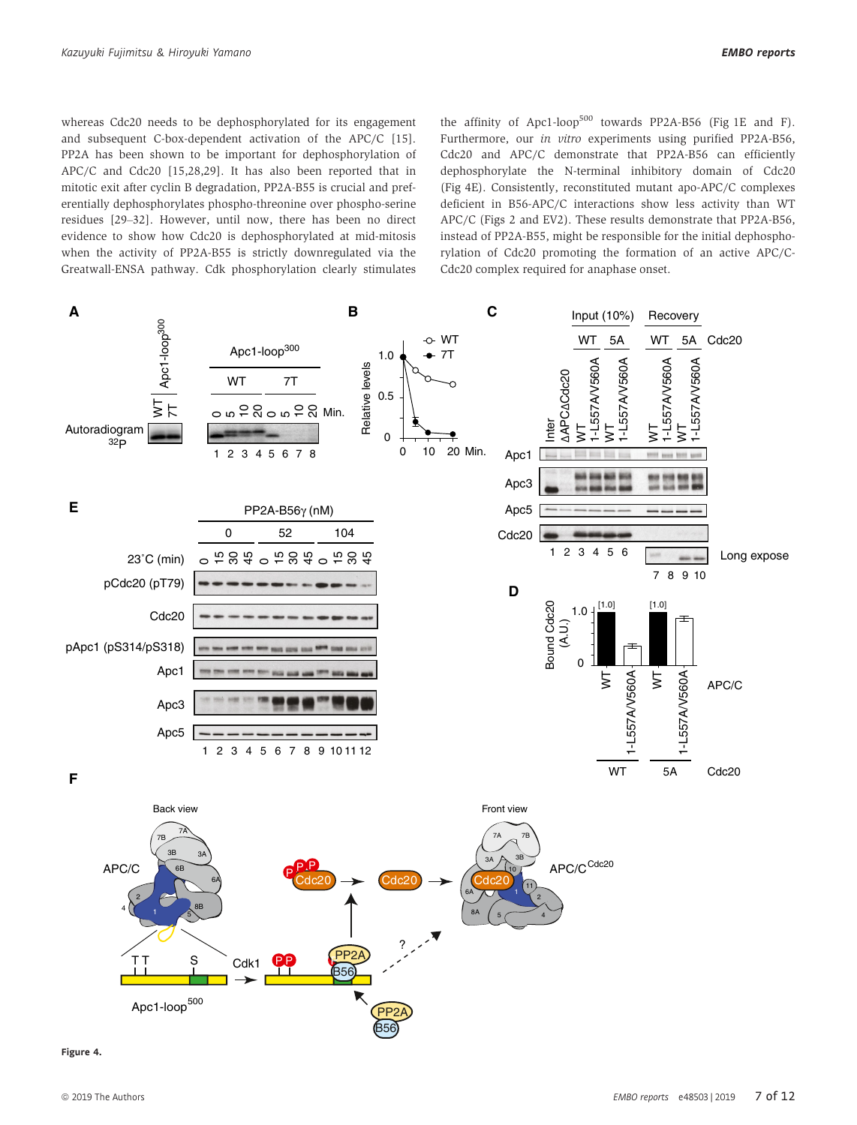whereas Cdc20 needs to be dephosphorylated for its engagement and subsequent C-box-dependent activation of the APC/C [15]. PP2A has been shown to be important for dephosphorylation of APC/C and Cdc20 [15,28,29]. It has also been reported that in mitotic exit after cyclin B degradation, PP2A-B55 is crucial and preferentially dephosphorylates phospho-threonine over phospho-serine residues [29–32]. However, until now, there has been no direct evidence to show how Cdc20 is dephosphorylated at mid-mitosis when the activity of PP2A-B55 is strictly downregulated via the Greatwall-ENSA pathway. Cdk phosphorylation clearly stimulates the affinity of Apc1-loop<sup>500</sup> towards PP2A-B56 (Fig 1E and F). Furthermore, our in vitro experiments using purified PP2A-B56, Cdc20 and APC/C demonstrate that PP2A-B56 can efficiently dephosphorylate the N-terminal inhibitory domain of Cdc20 (Fig 4E). Consistently, reconstituted mutant apo-APC/C complexes deficient in B56-APC/C interactions show less activity than WT APC/C (Figs 2 and EV2). These results demonstrate that PP2A-B56, instead of PP2A-B55, might be responsible for the initial dephosphorylation of Cdc20 promoting the formation of an active APC/C-Cdc20 complex required for anaphase onset.



Figure 4.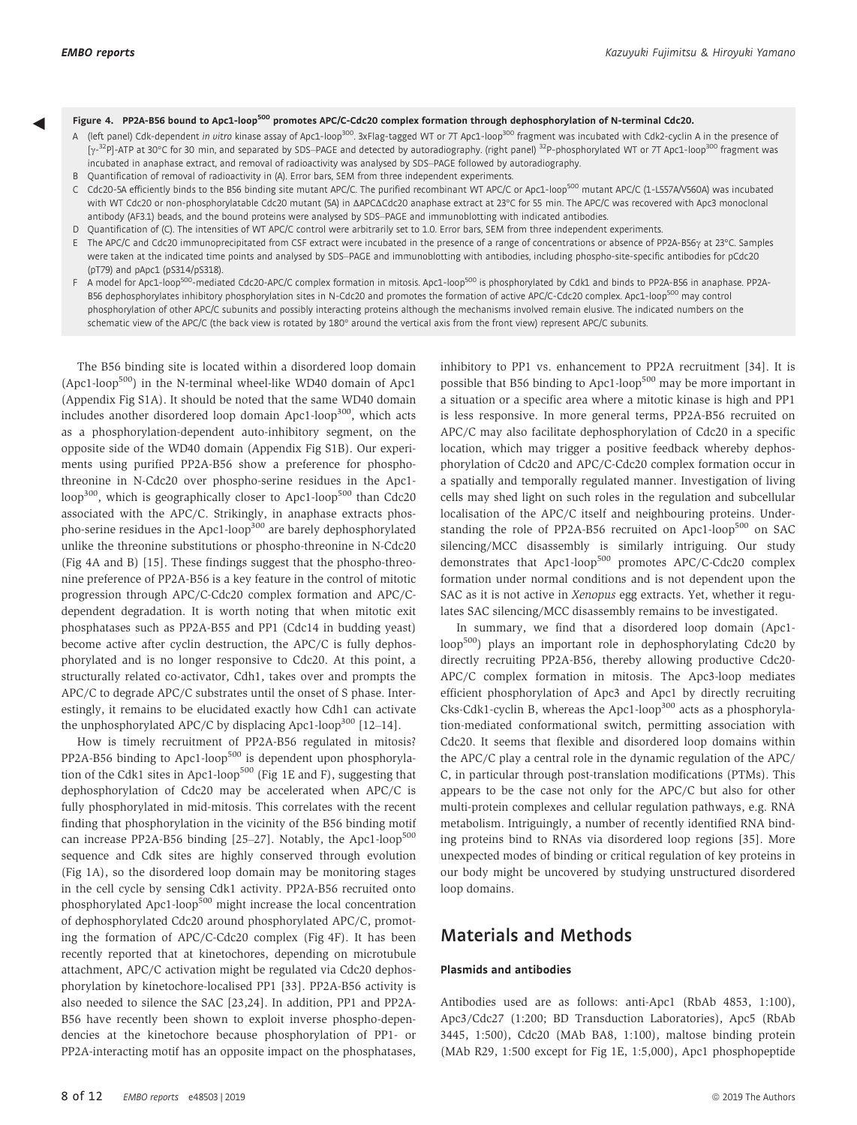- **Eigure 4. PP2A-B56 bound to Apc1-loop<sup>500</sup> promotes APC/C-Cdc20 complex formation through dephosphorylation of N-terminal Cdc20.**<br>A (left panel) Cdk-dependent *in vitro* kinase assay of Apc1-loop<sup>300</sup>. 3xFlag-tagged WT or [y-<sup>32</sup>P]-ATP at 30°C for 30 min, and separated by SDS–PAGE and detected by autoradiography. (right panel) <sup>32</sup>P-phosphorylated WT or 7T Apc1-loop<sup>300</sup> fragment was incubated in anaphase extract, and removal of radioactivity was analysed by SDS–PAGE followed by autoradiography.
	- B Quantification of removal of radioactivity in (A). Error bars, SEM from three independent experiments. C Cdc20-5A efficiently binds to the B56 binding site mutant APC/C. The purified recombinant WT APC/C or Apc1-loop<sup>500</sup> mutant APC/C (1-L557A/V560A) was incubated
	- with WT Cdc20 or non-phosphorylatable Cdc20 mutant (5A) in ΔΑΡCΔCdc20 anaphase extract at 23°C for 55 min. The APC/C was recovered with Apc3 monoclonal antibody (AF3.1) beads, and the bound proteins were analysed by SDS–PAGE and immunoblotting with indicated antibodies.
	- D Quantification of (C). The intensities of WT APC/C control were arbitrarily set to 1.0. Error bars, SEM from three independent experiments.
	- E The APC/C and Cdc20 immunoprecipitated from CSF extract were incubated in the presence of a range of concentrations or absence of PP2A-B56 $\gamma$  at 23°C. Samples were taken at the indicated time points and analysed by SDS–PAGE and immunoblotting with antibodies, including phospho-site-specific antibodies for pCdc20 (pT79) and pApc1 (pS314/pS318).
	- F A model for Apc1-loop<sup>500</sup>-mediated Cdc20-APC/C complex formation in mitosis. Apc1-loop<sup>500</sup> is phosphorylated by Cdk1 and binds to PP2A-B56 in anaphase. PP2A-B56 dephosphorylates inhibitory phosphorylation sites in N-Cdc20 and promotes the formation of active APC/C-Cdc20 complex. Apc1-loop<sup>500</sup> may control phosphorylation of other APC/C subunits and possibly interacting proteins although the mechanisms involved remain elusive. The indicated numbers on the schematic view of the APC/C (the back view is rotated by 180° around the vertical axis from the front view) represent APC/C subunits.

The B56 binding site is located within a disordered loop domain (Apc1-loop<sup>500</sup>) in the N-terminal wheel-like WD40 domain of Apc1 (Appendix Fig S1A). It should be noted that the same WD40 domain includes another disordered loop domain Apc1-loop<sup>300</sup>, which acts as a phosphorylation-dependent auto-inhibitory segment, on the opposite side of the WD40 domain (Appendix Fig S1B). Our experiments using purified PP2A-B56 show a preference for phosphothreonine in N-Cdc20 over phospho-serine residues in the Apc1 loop<sup>300</sup>, which is geographically closer to Apc1-loop<sup>500</sup> than Cdc20 associated with the APC/C. Strikingly, in anaphase extracts phospho-serine residues in the Apc1-loop<sup>300</sup> are barely dephosphorylated unlike the threonine substitutions or phospho-threonine in N-Cdc20 (Fig 4A and B) [15]. These findings suggest that the phospho-threonine preference of PP2A-B56 is a key feature in the control of mitotic progression through APC/C-Cdc20 complex formation and APC/Cdependent degradation. It is worth noting that when mitotic exit phosphatases such as PP2A-B55 and PP1 (Cdc14 in budding yeast) become active after cyclin destruction, the APC/C is fully dephosphorylated and is no longer responsive to Cdc20. At this point, a structurally related co-activator, Cdh1, takes over and prompts the APC/C to degrade APC/C substrates until the onset of S phase. Interestingly, it remains to be elucidated exactly how Cdh1 can activate the unphosphorylated APC/C by displacing Apc1-loop<sup>300</sup> [12-14].

How is timely recruitment of PP2A-B56 regulated in mitosis? PP2A-B56 binding to Apc1-loop<sup>500</sup> is dependent upon phosphorylation of the Cdk1 sites in Apc1-loop<sup>500</sup> (Fig 1E and F), suggesting that dephosphorylation of Cdc20 may be accelerated when APC/C is fully phosphorylated in mid-mitosis. This correlates with the recent finding that phosphorylation in the vicinity of the B56 binding motif can increase PP2A-B56 binding  $[25-27]$ . Notably, the Apc1-loop<sup>500</sup> sequence and Cdk sites are highly conserved through evolution (Fig 1A), so the disordered loop domain may be monitoring stages in the cell cycle by sensing Cdk1 activity. PP2A-B56 recruited onto phosphorylated Apc1-loop<sup>500</sup> might increase the local concentration of dephosphorylated Cdc20 around phosphorylated APC/C, promoting the formation of APC/C-Cdc20 complex (Fig 4F). It has been recently reported that at kinetochores, depending on microtubule attachment, APC/C activation might be regulated via Cdc20 dephosphorylation by kinetochore-localised PP1 [33]. PP2A-B56 activity is also needed to silence the SAC [23,24]. In addition, PP1 and PP2A-B56 have recently been shown to exploit inverse phospho-dependencies at the kinetochore because phosphorylation of PP1- or PP2A-interacting motif has an opposite impact on the phosphatases, inhibitory to PP1 vs. enhancement to PP2A recruitment [34]. It is possible that B56 binding to Apc1-loop<sup>500</sup> may be more important in a situation or a specific area where a mitotic kinase is high and PP1 is less responsive. In more general terms, PP2A-B56 recruited on APC/C may also facilitate dephosphorylation of Cdc20 in a specific location, which may trigger a positive feedback whereby dephosphorylation of Cdc20 and APC/C-Cdc20 complex formation occur in a spatially and temporally regulated manner. Investigation of living cells may shed light on such roles in the regulation and subcellular localisation of the APC/C itself and neighbouring proteins. Understanding the role of PP2A-B56 recruited on Apc1-loop<sup>500</sup> on SAC silencing/MCC disassembly is similarly intriguing. Our study demonstrates that Apc1-loop<sup>500</sup> promotes APC/C-Cdc20 complex formation under normal conditions and is not dependent upon the SAC as it is not active in Xenopus egg extracts. Yet, whether it regulates SAC silencing/MCC disassembly remains to be investigated.

In summary, we find that a disordered loop domain (Apc1 loop<sup>500</sup>) plays an important role in dephosphorylating Cdc20 by directly recruiting PP2A-B56, thereby allowing productive Cdc20- APC/C complex formation in mitosis. The Apc3-loop mediates efficient phosphorylation of Apc3 and Apc1 by directly recruiting Cks-Cdk1-cyclin B, whereas the Apc1-loop<sup>300</sup> acts as a phosphorylation-mediated conformational switch, permitting association with Cdc20. It seems that flexible and disordered loop domains within the APC/C play a central role in the dynamic regulation of the APC/ C, in particular through post-translation modifications (PTMs). This appears to be the case not only for the APC/C but also for other multi-protein complexes and cellular regulation pathways, e.g. RNA metabolism. Intriguingly, a number of recently identified RNA binding proteins bind to RNAs via disordered loop regions [35]. More unexpected modes of binding or critical regulation of key proteins in our body might be uncovered by studying unstructured disordered loop domains.

# Materials and Methods

#### Plasmids and antibodies

Antibodies used are as follows: anti-Apc1 (RbAb 4853, 1:100), Apc3/Cdc27 (1:200; BD Transduction Laboratories), Apc5 (RbAb 3445, 1:500), Cdc20 (MAb BA8, 1:100), maltose binding protein (MAb R29, 1:500 except for Fig 1E, 1:5,000), Apc1 phosphopeptide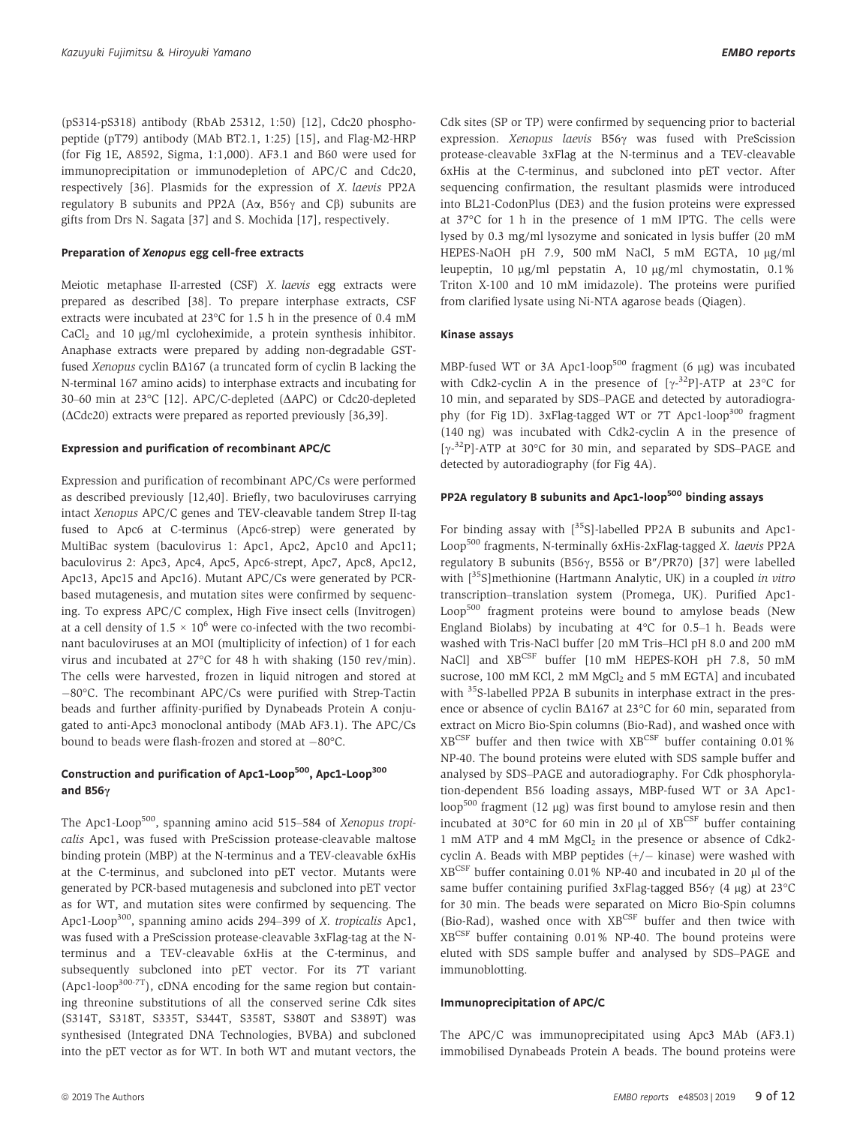(pS314-pS318) antibody (RbAb 25312, 1:50) [12], Cdc20 phosphopeptide (pT79) antibody (MAb BT2.1, 1:25) [15], and Flag-M2-HRP (for Fig 1E, A8592, Sigma, 1:1,000). AF3.1 and B60 were used for immunoprecipitation or immunodepletion of APC/C and Cdc20, respectively [36]. Plasmids for the expression of X. laevis PP2A regulatory B subunits and PP2A ( $A\alpha$ , B56 $\gamma$  and C $\beta$ ) subunits are gifts from Drs N. Sagata [37] and S. Mochida [17], respectively.

#### Preparation of Xenopus egg cell-free extracts

Meiotic metaphase II-arrested (CSF) X. laevis egg extracts were prepared as described [38]. To prepare interphase extracts, CSF extracts were incubated at 23°C for 1.5 h in the presence of 0.4 mM  $CaCl<sub>2</sub>$  and 10  $\mu$ g/ml cycloheximide, a protein synthesis inhibitor. Anaphase extracts were prepared by adding non-degradable GSTfused Xenopus cyclin B $\Delta$ 167 (a truncated form of cyclin B lacking the N-terminal 167 amino acids) to interphase extracts and incubating for 30–60 min at 23°C [12]. APC/C-depleted ( $\triangle$ APC) or Cdc20-depleted  $(\Delta Cdc20)$  extracts were prepared as reported previously [36,39].

#### Expression and purification of recombinant APC/C

Expression and purification of recombinant APC/Cs were performed as described previously [12,40]. Briefly, two baculoviruses carrying intact Xenopus APC/C genes and TEV-cleavable tandem Strep II-tag fused to Apc6 at C-terminus (Apc6-strep) were generated by MultiBac system (baculovirus 1: Apc1, Apc2, Apc10 and Apc11; baculovirus 2: Apc3, Apc4, Apc5, Apc6-strept, Apc7, Apc8, Apc12, Apc13, Apc15 and Apc16). Mutant APC/Cs were generated by PCRbased mutagenesis, and mutation sites were confirmed by sequencing. To express APC/C complex, High Five insect cells (Invitrogen) at a cell density of  $1.5 \times 10^6$  were co-infected with the two recombinant baculoviruses at an MOI (multiplicity of infection) of 1 for each virus and incubated at 27°C for 48 h with shaking (150 rev/min). The cells were harvested, frozen in liquid nitrogen and stored at -80°C. The recombinant APC/Cs were purified with Strep-Tactin beads and further affinity-purified by Dynabeads Protein A conjugated to anti-Apc3 monoclonal antibody (MAb AF3.1). The APC/Cs bound to beads were flash-frozen and stored at  $-80^{\circ}$ C.

## Construction and purification of Apc1-Loop<sup>500</sup>, Apc1-Loop<sup>300</sup> and B56 $\gamma$

The Apc1-Loop<sup>500</sup>, spanning amino acid 515–584 of Xenopus tropicalis Apc1, was fused with PreScission protease-cleavable maltose binding protein (MBP) at the N-terminus and a TEV-cleavable 6xHis at the C-terminus, and subcloned into pET vector. Mutants were generated by PCR-based mutagenesis and subcloned into pET vector as for WT, and mutation sites were confirmed by sequencing. The Apc1-Loop<sup>300</sup>, spanning amino acids 294–399 of X. tropicalis Apc1, was fused with a PreScission protease-cleavable 3xFlag-tag at the Nterminus and a TEV-cleavable 6xHis at the C-terminus, and subsequently subcloned into pET vector. For its 7T variant  $(Apc1-loop<sup>300-TT</sup>)$ , cDNA encoding for the same region but containing threonine substitutions of all the conserved serine Cdk sites (S314T, S318T, S335T, S344T, S358T, S380T and S389T) was synthesised (Integrated DNA Technologies, BVBA) and subcloned into the pET vector as for WT. In both WT and mutant vectors, the Cdk sites (SP or TP) were confirmed by sequencing prior to bacterial expression. *Xenopus laevis* B56 $\nu$  was fused with PreScission protease-cleavable 3xFlag at the N-terminus and a TEV-cleavable 6xHis at the C-terminus, and subcloned into pET vector. After sequencing confirmation, the resultant plasmids were introduced into BL21-CodonPlus (DE3) and the fusion proteins were expressed at 37°C for 1 h in the presence of 1 mM IPTG. The cells were lysed by 0.3 mg/ml lysozyme and sonicated in lysis buffer (20 mM HEPES-NaOH pH 7.9, 500 mM NaCl, 5 mM EGTA, 10 µg/ml leupeptin, 10  $\mu$ g/ml pepstatin A, 10  $\mu$ g/ml chymostatin, 0.1% Triton X-100 and 10 mM imidazole). The proteins were purified from clarified lysate using Ni-NTA agarose beads (Qiagen).

#### Kinase assays

MBP-fused WT or 3A Apc1-loop<sup>500</sup> fragment (6  $\mu$ g) was incubated with Cdk2-cyclin A in the presence of  $[\gamma^{-3}P]$ -ATP at 23°C for 10 min, and separated by SDS–PAGE and detected by autoradiography (for Fig 1D). 3xFlag-tagged WT or  $7T$  Apc1-loop<sup>300</sup> fragment (140 ng) was incubated with Cdk2-cyclin A in the presence of [ $\gamma$ -<sup>32</sup>P]-ATP at 30°C for 30 min, and separated by SDS–PAGE and detected by autoradiography (for Fig 4A).

## PP2A regulatory B subunits and Apc1-loop<sup>500</sup> binding assays

For binding assay with  $\int^{35}S$ ]-labelled PP2A B subunits and Apc1-Loop<sup>500</sup> fragments, N-terminally 6xHis-2xFlag-tagged X. laevis PP2A regulatory B subunits (B56 $\gamma$ , B55 $\delta$  or B"/PR70) [37] were labelled with  $\lceil 35S \rceil$ methionine (Hartmann Analytic, UK) in a coupled in vitro transcription–translation system (Promega, UK). Purified Apc1- Loop<sup>500</sup> fragment proteins were bound to amylose beads (New England Biolabs) by incubating at 4°C for 0.5–1 h. Beads were washed with Tris-NaCl buffer [20 mM Tris–HCl pH 8.0 and 200 mM NaCl] and XBCSF buffer [10 mM HEPES-KOH pH 7.8, 50 mM sucrose, 100 mM KCl, 2 mM MgCl<sub>2</sub> and 5 mM EGTA] and incubated with <sup>35</sup>S-labelled PP2A B subunits in interphase extract in the presence or absence of cyclin B $\Delta$ 167 at 23°C for 60 min, separated from extract on Micro Bio-Spin columns (Bio-Rad), and washed once with XBCSF buffer and then twice with XBCSF buffer containing 0.01% NP-40. The bound proteins were eluted with SDS sample buffer and analysed by SDS–PAGE and autoradiography. For Cdk phosphorylation-dependent B56 loading assays, MBP-fused WT or 3A Apc1 loop<sup>500</sup> fragment (12 µg) was first bound to amylose resin and then incubated at 30 $^{\circ}$ C for 60 min in 20 µl of XB<sup>CSF</sup> buffer containing 1 mM ATP and 4 mM  $MgCl<sub>2</sub>$  in the presence or absence of Cdk2cyclin A. Beads with MBP peptides  $(+/-$  kinase) were washed with  $XB^{CSF}$  buffer containing 0.01% NP-40 and incubated in 20  $\mu$ l of the same buffer containing purified 3xFlag-tagged B56 $\gamma$  (4 µg) at 23 $\degree$ C for 30 min. The beads were separated on Micro Bio-Spin columns (Bio-Rad), washed once with XBCSF buffer and then twice with XBCSF buffer containing 0.01% NP-40. The bound proteins were eluted with SDS sample buffer and analysed by SDS–PAGE and immunoblotting.

#### Immunoprecipitation of APC/C

The APC/C was immunoprecipitated using Apc3 MAb (AF3.1) immobilised Dynabeads Protein A beads. The bound proteins were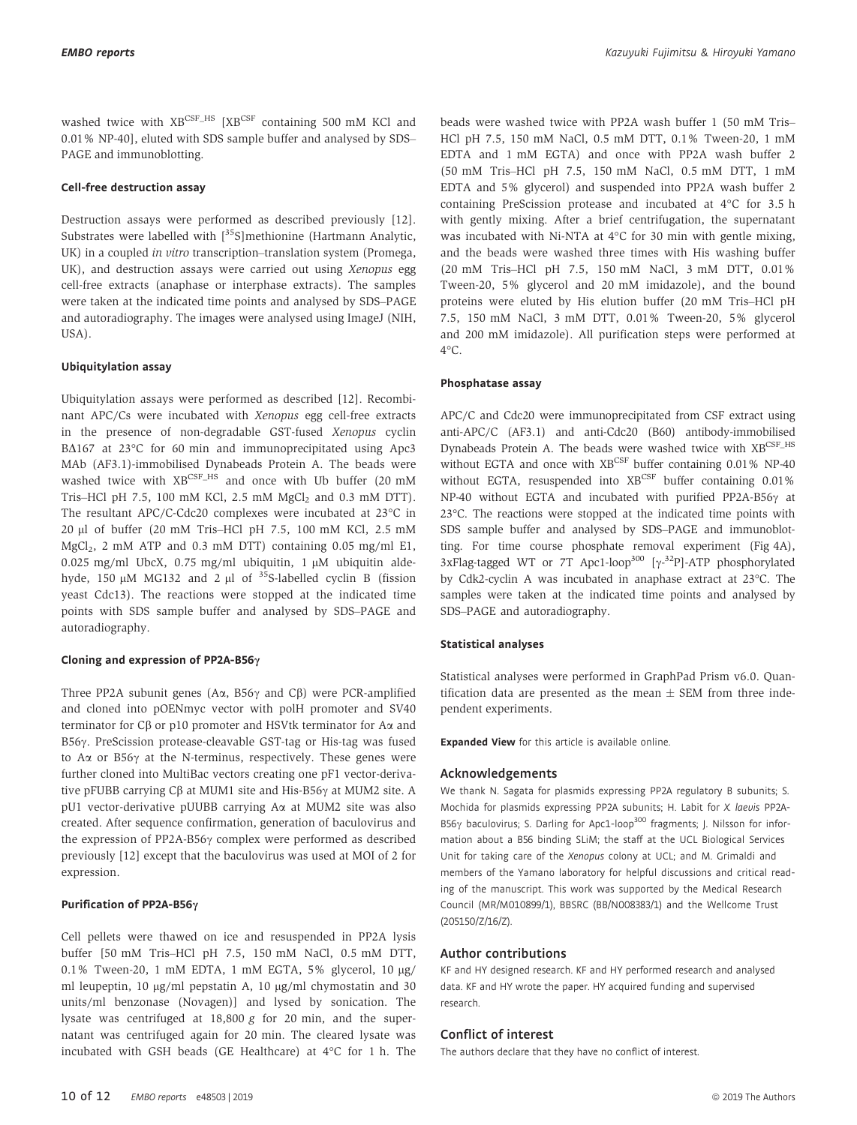washed twice with XBCSF\_HS [XBCSF containing 500 mM KCl and 0.01% NP-40], eluted with SDS sample buffer and analysed by SDS– PAGE and immunoblotting.

#### Cell-free destruction assay

Destruction assays were performed as described previously [12]. Substrates were labelled with  $[35S]$ methionine (Hartmann Analytic, UK) in a coupled in vitro transcription–translation system (Promega, UK), and destruction assays were carried out using Xenopus egg cell-free extracts (anaphase or interphase extracts). The samples were taken at the indicated time points and analysed by SDS–PAGE and autoradiography. The images were analysed using ImageJ (NIH, USA).

#### Ubiquitylation assay

Ubiquitylation assays were performed as described [12]. Recombinant APC/Cs were incubated with Xenopus egg cell-free extracts in the presence of non-degradable GST-fused Xenopus cyclin B $\Delta$ 167 at 23°C for 60 min and immunoprecipitated using Apc3 MAb (AF3.1)-immobilised Dynabeads Protein A. The beads were washed twice with  $XB^{CSF\_HS}$  and once with Ub buffer (20 mM Tris–HCl pH 7.5, 100 mM KCl, 2.5 mM  $MgCl<sub>2</sub>$  and 0.3 mM DTT). The resultant APC/C-Cdc20 complexes were incubated at 23°C in 20 ll of buffer (20 mM Tris–HCl pH 7.5, 100 mM KCl, 2.5 mM MgCl2, 2 mM ATP and 0.3 mM DTT) containing 0.05 mg/ml E1, 0.025 mg/ml UbcX, 0.75 mg/ml ubiquitin, 1  $\mu$ M ubiquitin aldehyde, 150  $\mu$ M MG132 and 2  $\mu$ l of <sup>35</sup>S-labelled cyclin B (fission yeast Cdc13). The reactions were stopped at the indicated time points with SDS sample buffer and analysed by SDS–PAGE and autoradiography.

#### Cloning and expression of PP2A-B56 $\gamma$

Three PP2A subunit genes ( $A\alpha$ , B56 $\gamma$  and C $\beta$ ) were PCR-amplified and cloned into pOENmyc vector with polH promoter and SV40 terminator for  $C\beta$  or p10 promoter and HSVtk terminator for A $\alpha$  and B56γ. PreScission protease-cleavable GST-tag or His-tag was fused to  $A\alpha$  or B56 $\gamma$  at the N-terminus, respectively. These genes were further cloned into MultiBac vectors creating one pF1 vector-derivative pFUBB carrying  $C\beta$  at MUM1 site and His-B56 $\gamma$  at MUM2 site. A pU1 vector-derivative pUUBB carrying Aa at MUM2 site was also created. After sequence confirmation, generation of baculovirus and the expression of PP2A-B56 $\gamma$  complex were performed as described previously [12] except that the baculovirus was used at MOI of 2 for expression.

#### Purification of PP2A-B56y

Cell pellets were thawed on ice and resuspended in PP2A lysis buffer [50 mM Tris–HCl pH 7.5, 150 mM NaCl, 0.5 mM DTT, 0.1% Tween-20, 1 mM EDTA, 1 mM EGTA, 5% glycerol, 10 μg/ ml leupeptin, 10 µg/ml pepstatin A, 10 µg/ml chymostatin and 30 units/ml benzonase (Novagen)] and lysed by sonication. The lysate was centrifuged at 18,800 g for 20 min, and the supernatant was centrifuged again for 20 min. The cleared lysate was incubated with GSH beads (GE Healthcare) at 4°C for 1 h. The beads were washed twice with PP2A wash buffer 1 (50 mM Tris– HCl pH 7.5, 150 mM NaCl, 0.5 mM DTT, 0.1% Tween-20, 1 mM EDTA and 1 mM EGTA) and once with PP2A wash buffer 2 (50 mM Tris–HCl pH 7.5, 150 mM NaCl, 0.5 mM DTT, 1 mM EDTA and 5% glycerol) and suspended into PP2A wash buffer 2 containing PreScission protease and incubated at 4°C for 3.5 h with gently mixing. After a brief centrifugation, the supernatant was incubated with Ni-NTA at 4°C for 30 min with gentle mixing, and the beads were washed three times with His washing buffer (20 mM Tris–HCl pH 7.5, 150 mM NaCl, 3 mM DTT, 0.01% Tween-20, 5% glycerol and 20 mM imidazole), and the bound proteins were eluted by His elution buffer (20 mM Tris–HCl pH 7.5, 150 mM NaCl, 3 mM DTT, 0.01% Tween-20, 5% glycerol and 200 mM imidazole). All purification steps were performed at  $4^{\circ}$ C.

#### Phosphatase assay

APC/C and Cdc20 were immunoprecipitated from CSF extract using anti-APC/C (AF3.1) and anti-Cdc20 (B60) antibody-immobilised Dynabeads Protein A. The beads were washed twice with XBCSF\_HS without EGTA and once with XBCSF buffer containing 0.01% NP-40 without EGTA, resuspended into XBCSF buffer containing 0.01% NP-40 without EGTA and incubated with purified PP2A-B56 $\gamma$  at 23°C. The reactions were stopped at the indicated time points with SDS sample buffer and analysed by SDS–PAGE and immunoblotting. For time course phosphate removal experiment (Fig 4A), 3xFlag-tagged WT or 7T Apc1-loop<sup>300</sup> [ $\gamma$ -<sup>32</sup>P]-ATP phosphorylated by Cdk2-cyclin A was incubated in anaphase extract at 23°C. The samples were taken at the indicated time points and analysed by SDS–PAGE and autoradiography.

#### Statistical analyses

Statistical analyses were performed in GraphPad Prism v6.0. Quantification data are presented as the mean  $\pm$  SEM from three independent experiments.

Expanded View for this article is available [online.](https://doi.org/10.15252/embr.201948503)

#### Acknowledgements

We thank N. Sagata for plasmids expressing PP2A regulatory B subunits; S. Mochida for plasmids expressing PP2A subunits; H. Labit for X. laevis PP2A-B56 $\gamma$  baculovirus; S. Darling for Apc1-loop<sup>300</sup> fragments; J. Nilsson for information about a B56 binding SLiM; the staff at the UCL Biological Services Unit for taking care of the Xenopus colony at UCL; and M. Grimaldi and members of the Yamano laboratory for helpful discussions and critical reading of the manuscript. This work was supported by the Medical Research Council (MR/M010899/1), BBSRC (BB/N008383/1) and the Wellcome Trust (205150/Z/16/Z).

#### Author contributions

KF and HY designed research. KF and HY performed research and analysed data. KF and HY wrote the paper. HY acquired funding and supervised research.

#### Conflict of interest

The authors declare that they have no conflict of interest.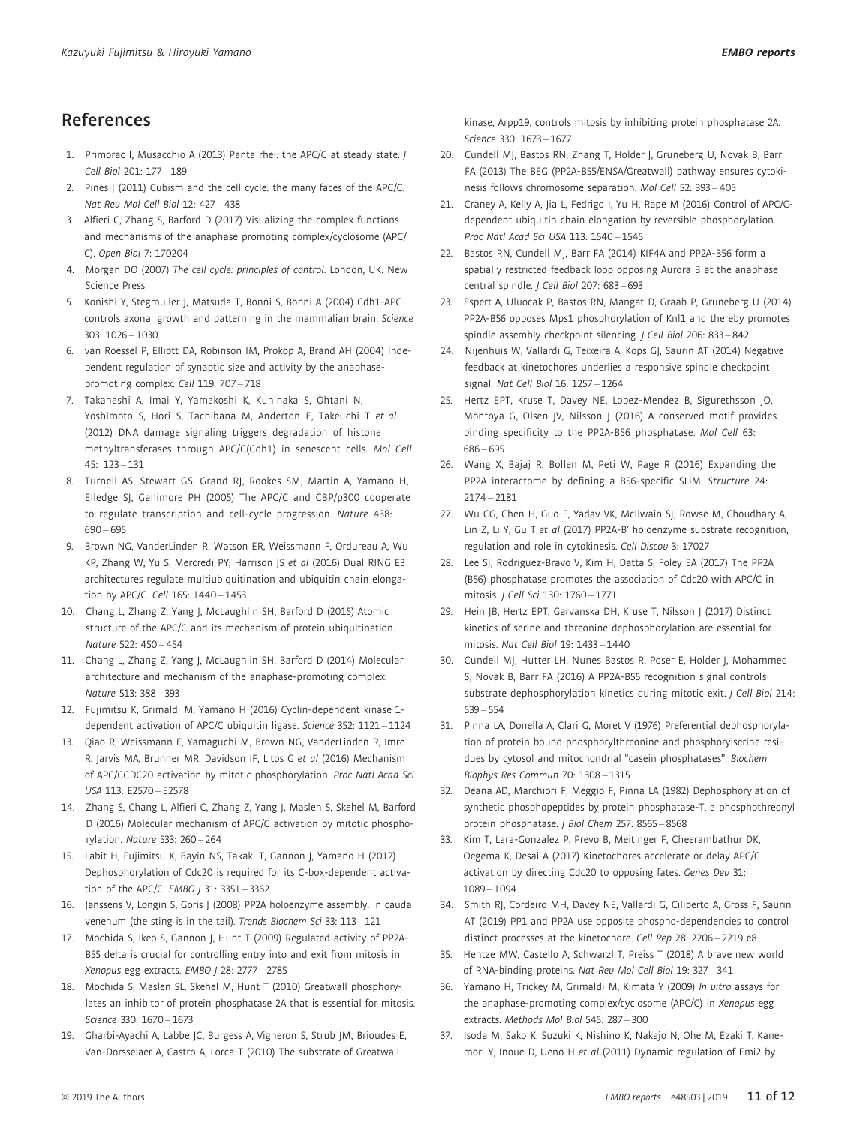# References

- 1. Primorac I, Musacchio A (2013) Panta rhei: the APC/C at steady state. J Cell Biol 201: 177 – 189
- 2. Pines J (2011) Cubism and the cell cycle: the many faces of the APC/C. Nat Rev Mol Cell Biol 12: 427 – 438
- 3. Alfieri C, Zhang S, Barford D (2017) Visualizing the complex functions and mechanisms of the anaphase promoting complex/cyclosome (APC/ C). Open Biol 7: 170204
- 4. Morgan DO (2007) The cell cycle: principles of control. London, UK: New Science Press
- 5. Konishi Y, Stegmuller J, Matsuda T, Bonni S, Bonni A (2004) Cdh1-APC controls axonal growth and patterning in the mammalian brain. Science 303: 1026 – 1030
- 6. van Roessel P, Elliott DA, Robinson IM, Prokop A, Brand AH (2004) Independent regulation of synaptic size and activity by the anaphasepromoting complex. Cell 119: 707 – 718
- 7. Takahashi A, Imai Y, Yamakoshi K, Kuninaka S, Ohtani N, Yoshimoto S, Hori S, Tachibana M, Anderton E, Takeuchi T et al (2012) DNA damage signaling triggers degradation of histone methyltransferases through APC/C(Cdh1) in senescent cells. Mol Cell 45: 123 – 131
- 8. Turnell AS, Stewart GS, Grand RJ, Rookes SM, Martin A, Yamano H, Elledge SJ, Gallimore PH (2005) The APC/C and CBP/p300 cooperate to regulate transcription and cell-cycle progression. Nature 438: 690 – 695
- 9. Brown NG, VanderLinden R, Watson ER, Weissmann F, Ordureau A, Wu KP, Zhang W, Yu S, Mercredi PY, Harrison JS et al (2016) Dual RING E3 architectures regulate multiubiquitination and ubiquitin chain elongation by APC/C. Cell 165: 1440 – 1453
- 10. Chang L, Zhang Z, Yang J, McLaughlin SH, Barford D (2015) Atomic structure of the APC/C and its mechanism of protein ubiquitination. Nature 522: 450 – 454
- 11. Chang L, Zhang Z, Yang J, McLaughlin SH, Barford D (2014) Molecular architecture and mechanism of the anaphase-promoting complex. Nature 513: 388 – 393
- 12. Fujimitsu K, Grimaldi M, Yamano H (2016) Cyclin-dependent kinase 1 dependent activation of APC/C ubiquitin ligase. Science 352: 1121 – 1124
- 13. Qiao R, Weissmann F, Yamaguchi M, Brown NG, VanderLinden R, Imre R, Jarvis MA, Brunner MR, Davidson IF, Litos G et al (2016) Mechanism of APC/CCDC20 activation by mitotic phosphorylation. Proc Natl Acad Sci USA 113: E2570 – E2578
- 14. Zhang S, Chang L, Alfieri C, Zhang Z, Yang J, Maslen S, Skehel M, Barford D (2016) Molecular mechanism of APC/C activation by mitotic phosphorylation. Nature 533: 260 – 264
- 15. Labit H, Fujimitsu K, Bayin NS, Takaki T, Gannon J, Yamano H (2012) Dephosphorylation of Cdc20 is required for its C-box-dependent activation of the APC/C. EMBO | 31: 3351 - 3362
- 16. Janssens V, Longin S, Goris J (2008) PP2A holoenzyme assembly: in cauda venenum (the sting is in the tail). Trends Biochem Sci 33: 113-121
- 17. Mochida S, Ikeo S, Gannon J, Hunt T (2009) Regulated activity of PP2A-B55 delta is crucial for controlling entry into and exit from mitosis in Xenopus egg extracts. EMBO / 28: 2777 - 2785
- 18. Mochida S, Maslen SL, Skehel M, Hunt T (2010) Greatwall phosphorylates an inhibitor of protein phosphatase 2A that is essential for mitosis. Science 330: 1670 – 1673
- 19. Gharbi-Ayachi A, Labbe JC, Burgess A, Vigneron S, Strub JM, Brioudes E, Van-Dorsselaer A, Castro A, Lorca T (2010) The substrate of Greatwall

kinase, Arpp19, controls mitosis by inhibiting protein phosphatase 2A. Science 330: 1673 – 1677

- 20. Cundell MJ, Bastos RN, Zhang T, Holder J, Gruneberg U, Novak B, Barr FA (2013) The BEG (PP2A-B55/ENSA/Greatwall) pathway ensures cytokinesis follows chromosome separation. Mol Cell 52: 393 – 405
- 21. Craney A, Kelly A, Jia L, Fedrigo I, Yu H, Rape M (2016) Control of APC/Cdependent ubiquitin chain elongation by reversible phosphorylation. Proc Natl Acad Sci USA 113: 1540 – 1545
- 22. Bastos RN, Cundell MJ, Barr FA (2014) KIF4A and PP2A-B56 form a spatially restricted feedback loop opposing Aurora B at the anaphase central spindle. J Cell Biol 207: 683 – 693
- 23. Espert A, Uluocak P, Bastos RN, Mangat D, Graab P, Gruneberg U (2014) PP2A-B56 opposes Mps1 phosphorylation of Knl1 and thereby promotes spindle assembly checkpoint silencing. J Cell Biol 206: 833 – 842
- 24. Nijenhuis W, Vallardi G, Teixeira A, Kops GJ, Saurin AT (2014) Negative feedback at kinetochores underlies a responsive spindle checkpoint signal. Nat Cell Biol 16: 1257 – 1264
- 25. Hertz EPT, Kruse T, Davey NE, Lopez-Mendez B, Sigurethsson JO, Montoya G, Olsen JV, Nilsson J (2016) A conserved motif provides binding specificity to the PP2A-B56 phosphatase. Mol Cell 63: 686 – 695
- 26. Wang X, Bajaj R, Bollen M, Peti W, Page R (2016) Expanding the PP2A interactome by defining a B56-specific SLiM. Structure 24: 2174 – 2181
- 27. Wu CG, Chen H, Guo F, Yadav VK, McIlwain SJ, Rowse M, Choudhary A, Lin Z, Li Y, Gu T et al (2017) PP2A-B' holoenzyme substrate recognition, regulation and role in cytokinesis. Cell Discov 3: 17027
- 28. Lee SJ, Rodriguez-Bravo V, Kim H, Datta S, Foley EA (2017) The PP2A (B56) phosphatase promotes the association of Cdc20 with APC/C in mitosis. J Cell Sci 130: 1760 – 1771
- 29. Hein JB, Hertz EPT, Garvanska DH, Kruse T, Nilsson J (2017) Distinct kinetics of serine and threonine dephosphorylation are essential for mitosis. Nat Cell Biol 19: 1433 – 1440
- 30. Cundell MJ, Hutter LH, Nunes Bastos R, Poser E, Holder J, Mohammed S, Novak B, Barr FA (2016) A PP2A-B55 recognition signal controls substrate dephosphorylation kinetics during mitotic exit. J Cell Biol 214: 539 – 554
- 31. Pinna LA, Donella A, Clari G, Moret V (1976) Preferential dephosphorylation of protein bound phosphorylthreonine and phosphorylserine residues by cytosol and mitochondrial "casein phosphatases". Biochem Biophys Res Commun 70: 1308 – 1315
- 32. Deana AD, Marchiori F, Meggio F, Pinna LA (1982) Dephosphorylation of synthetic phosphopeptides by protein phosphatase-T, a phosphothreonyl protein phosphatase. J Biol Chem 257: 8565 – 8568
- 33. Kim T, Lara-Gonzalez P, Prevo B, Meitinger F, Cheerambathur DK, Oegema K, Desai A (2017) Kinetochores accelerate or delay APC/C activation by directing Cdc20 to opposing fates. Genes Dev 31: 1089 – 1094
- 34. Smith RJ, Cordeiro MH, Davey NE, Vallardi G, Ciliberto A, Gross F, Saurin AT (2019) PP1 and PP2A use opposite phospho-dependencies to control distinct processes at the kinetochore. Cell Rep 28: 2206 – 2219 e8
- 35. Hentze MW, Castello A, Schwarzl T, Preiss T (2018) A brave new world of RNA-binding proteins. Nat Rev Mol Cell Biol 19: 327 – 341
- 36. Yamano H, Trickey M, Grimaldi M, Kimata Y (2009) In vitro assays for the anaphase-promoting complex/cyclosome (APC/C) in Xenopus egg extracts. Methods Mol Biol 545: 287 – 300
- 37. Isoda M, Sako K, Suzuki K, Nishino K, Nakajo N, Ohe M, Ezaki T, Kanemori Y, Inoue D, Ueno H et al (2011) Dynamic regulation of Emi2 by